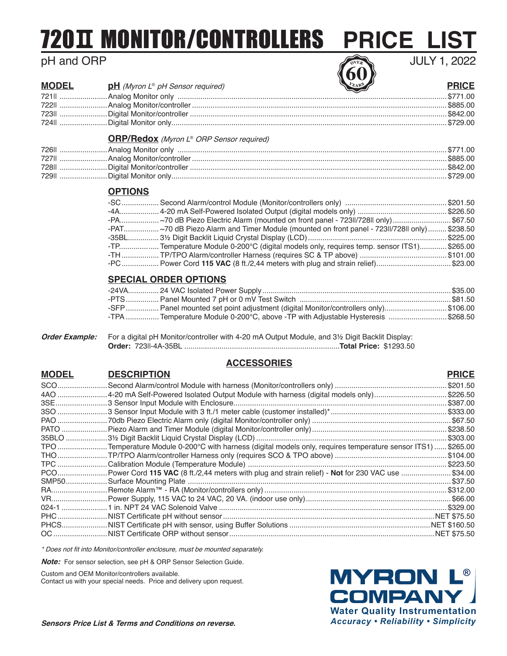# <u>720II MONITOR/CONTROLLERS PRICE LIST</u>

## pH and ORP

JULY 1, 2022

| <u>PUI AIN PINI</u> |                                         | <b><i>LEU</i></b> |              |
|---------------------|-----------------------------------------|-------------------|--------------|
| <b>MODEL</b>        | <b>pH</b> (Myron L® pH Sensor required) |                   | <b>PRICE</b> |
|                     |                                         |                   |              |
|                     |                                         |                   |              |
|                     |                                         |                   |              |

### **ORP/Redox** (Myron L® ORP Sensor required)

|  | \$885.00 |
|--|----------|
|  |          |
|  |          |

724II .......................Digital Monitor only.....................................................................................................................................\$729.00

### **OPTIONS**

| -PAT~70 dB Piezo Alarm and Timer Module (mounted on front panel - 723ll/728ll only) \$238.50 |  |
|----------------------------------------------------------------------------------------------|--|
|                                                                                              |  |
| -TP Temperature Module 0-200°C (digital models only, requires temp. sensor ITS1) \$265.00    |  |
| TH  TP/TPO Alarm/controller Harness (requires SC & TP above) \$101.00                        |  |
| -PC Power Cord 115 VAC (8 ft./2,44 meters with plug and strain relief)\$23.00                |  |

### **SPECIAL ORDER OPTIONS**

| -SFP  Panel mounted set point adjustment (digital Monitor/controllers only)\$106.00 |  |
|-------------------------------------------------------------------------------------|--|
| -TPA  Temperature Module 0-200°C, above -TP with Adjustable Hysteresis \$268.50     |  |

|  | Order Example: For a digital pH Monitor/controller with 4-20 mA Output Module, and 3½ Digit Backlit Display: |  |
|--|--------------------------------------------------------------------------------------------------------------|--|
|  |                                                                                                              |  |

### **ACCESSORIES**

| <b>MODEL</b> | <b>DESCRIPTION</b>                                                                                   | <b>PRICE</b> |
|--------------|------------------------------------------------------------------------------------------------------|--------------|
|              |                                                                                                      | \$201.50     |
|              |                                                                                                      | \$226.50     |
|              |                                                                                                      | \$387.00     |
|              |                                                                                                      | \$333.00     |
|              |                                                                                                      |              |
|              |                                                                                                      |              |
|              |                                                                                                      | .\$303.00    |
|              | TPO Temperature Module 0-200°C with harness (digital models only, requires temperature sensor ITS1)  | . \$265.00   |
|              |                                                                                                      | .\$104.00    |
|              |                                                                                                      |              |
|              | PCO Power Cord 115 VAC (8 ft./2,44 meters with plug and strain relief) - Not for 230 VAC use \$34.00 |              |
|              |                                                                                                      |              |
|              |                                                                                                      |              |
|              |                                                                                                      |              |
|              |                                                                                                      |              |
|              |                                                                                                      |              |
|              |                                                                                                      |              |
|              |                                                                                                      |              |

\* Does not fit into Monitor/controller enclosure, must be mounted separately.

**Note:** For sensor selection, see pH & ORP Sensor Selection Guide.

Custom and OEM Monitor/controllers available.

Contact us with your special needs. Price and delivery upon request.